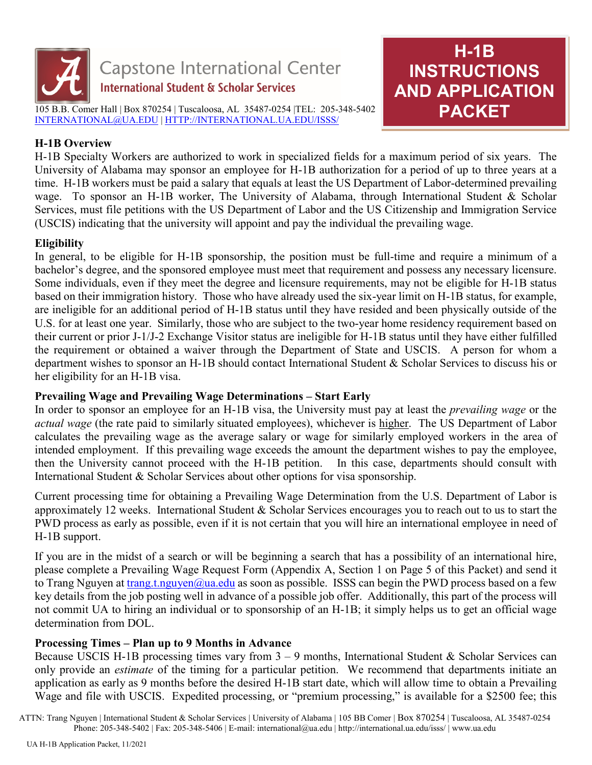

# **H-1B INSTRUCTIONS AND APPLICATION PACKET**

## **H-1B Overview**

H-1B Specialty Workers are authorized to work in specialized fields for a maximum period of six years. The University of Alabama may sponsor an employee for H-1B authorization for a period of up to three years at a time. H-1B workers must be paid a salary that equals at least the US Department of Labor-determined prevailing wage. To sponsor an H-1B worker, The University of Alabama, through International Student & Scholar Services, must file petitions with the US Department of Labor and the US Citizenship and Immigration Service (USCIS) indicating that the university will appoint and pay the individual the prevailing wage.

## **Eligibility**

In general, to be eligible for H-1B sponsorship, the position must be full-time and require a minimum of a bachelor's degree, and the sponsored employee must meet that requirement and possess any necessary licensure. Some individuals, even if they meet the degree and licensure requirements, may not be eligible for H-1B status based on their immigration history. Those who have already used the six-year limit on H-1B status, for example, are ineligible for an additional period of H-1B status until they have resided and been physically outside of the U.S. for at least one year. Similarly, those who are subject to the two-year home residency requirement based on their current or prior J-1/J-2 Exchange Visitor status are ineligible for H-1B status until they have either fulfilled the requirement or obtained a waiver through the Department of State and USCIS. A person for whom a department wishes to sponsor an H-1B should contact International Student & Scholar Services to discuss his or her eligibility for an H-1B visa.

## **Prevailing Wage and Prevailing Wage Determinations – Start Early**

In order to sponsor an employee for an H-1B visa, the University must pay at least the *prevailing wage* or the *actual wage* (the rate paid to similarly situated employees), whichever is higher. The US Department of Labor calculates the prevailing wage as the average salary or wage for similarly employed workers in the area of intended employment. If this prevailing wage exceeds the amount the department wishes to pay the employee, then the University cannot proceed with the H-1B petition. In this case, departments should consult with International Student & Scholar Services about other options for visa sponsorship.

Current processing time for obtaining a Prevailing Wage Determination from the U.S. Department of Labor is approximately 12 weeks. International Student & Scholar Services encourages you to reach out to us to start the PWD process as early as possible, even if it is not certain that you will hire an international employee in need of H-1B support.

If you are in the midst of a search or will be beginning a search that has a possibility of an international hire, please complete a Prevailing Wage Request Form (Appendix A, Section 1 on Page 5 of this Packet) and send it to Trang Nguyen at  $\frac{t}{\text{range.t.}}$ nguyen@ua.edu as soon as possible. ISSS can begin the PWD process based on a few key details from the job posting well in advance of a possible job offer. Additionally, this part of the process will not commit UA to hiring an individual or to sponsorship of an H-1B; it simply helps us to get an official wage determination from DOL.

## **Processing Times – Plan up to 9 Months in Advance**

Because USCIS H-1B processing times vary from  $3 - 9$  months, International Student & Scholar Services can only provide an *estimate* of the timing for a particular petition. We recommend that departments initiate an application as early as 9 months before the desired H-1B start date, which will allow time to obtain a Prevailing Wage and file with USCIS. Expedited processing, or "premium processing," is available for a \$2500 fee; this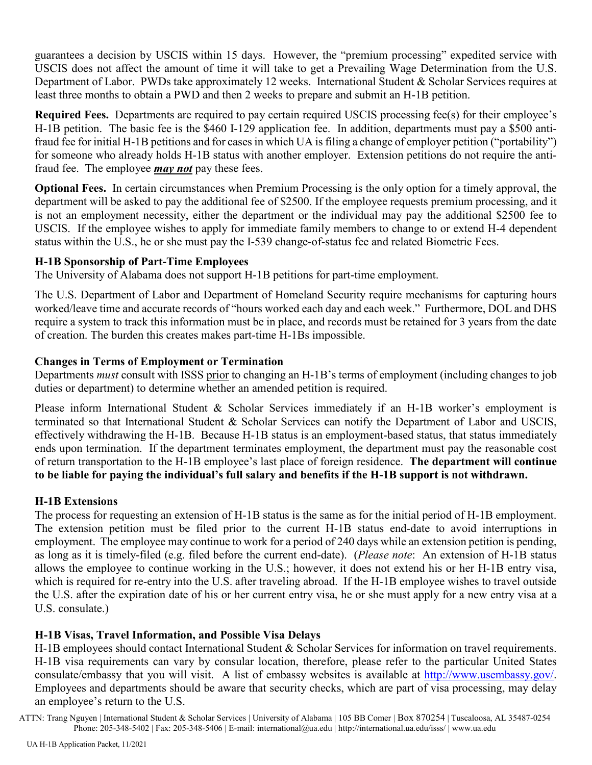guarantees a decision by USCIS within 15 days. However, the "premium processing" expedited service with USCIS does not affect the amount of time it will take to get a Prevailing Wage Determination from the U.S. Department of Labor. PWDs take approximately 12 weeks. International Student & Scholar Services requires at least three months to obtain a PWD and then 2 weeks to prepare and submit an H-1B petition.

**Required Fees.**Departments are required to pay certain required USCIS processing fee(s) for their employee's H-1B petition. The basic fee is the \$460 I-129 application fee. In addition, departments must pay a \$500 antifraud fee for initial H-1B petitions and for cases in which UA is filing a change of employer petition ("portability") for someone who already holds H-1B status with another employer. Extension petitions do not require the antifraud fee. The employee *may not* pay these fees.

**Optional Fees.**In certain circumstances when Premium Processing is the only option for a timely approval, the department will be asked to pay the additional fee of \$2500. If the employee requests premium processing, and it is not an employment necessity, either the department or the individual may pay the additional \$2500 fee to USCIS. If the employee wishes to apply for immediate family members to change to or extend H-4 dependent status within the U.S., he or she must pay the I-539 change-of-status fee and related Biometric Fees.

## **H-1B Sponsorship of Part-Time Employees**

The University of Alabama does not support H-1B petitions for part-time employment.

The U.S. Department of Labor and Department of Homeland Security require mechanisms for capturing hours worked/leave time and accurate records of "hours worked each day and each week." Furthermore, DOL and DHS require a system to track this information must be in place, and records must be retained for 3 years from the date of creation. The burden this creates makes part-time H-1Bs impossible.

## **Changes in Terms of Employment or Termination**

Departments *must* consult with ISSS prior to changing an H-1B's terms of employment (including changes to job duties or department) to determine whether an amended petition is required.

Please inform International Student & Scholar Services immediately if an H-1B worker's employment is terminated so that International Student & Scholar Services can notify the Department of Labor and USCIS, effectively withdrawing the H-1B. Because H-1B status is an employment-based status, that status immediately ends upon termination. If the department terminates employment, the department must pay the reasonable cost of return transportation to the H-1B employee's last place of foreign residence. **The department will continue to be liable for paying the individual's full salary and benefits if the H-1B support is not withdrawn.**

## **H-1B Extensions**

The process for requesting an extension of H-1B status is the same as for the initial period of H-1B employment. The extension petition must be filed prior to the current H-1B status end-date to avoid interruptions in employment. The employee may continue to work for a period of 240 days while an extension petition is pending, as long as it is timely-filed (e.g. filed before the current end-date). (*Please note*: An extension of H-1B status allows the employee to continue working in the U.S.; however, it does not extend his or her H-1B entry visa, which is required for re-entry into the U.S. after traveling abroad. If the H-1B employee wishes to travel outside the U.S. after the expiration date of his or her current entry visa, he or she must apply for a new entry visa at a U.S. consulate.)

## **H-1B Visas, Travel Information, and Possible Visa Delays**

H-1B employees should contact International Student & Scholar Services for information on travel requirements. H-1B visa requirements can vary by consular location, therefore, please refer to the particular United States consulate/embassy that you will visit. A list of embassy websites is available at [http://www.usembassy.gov/.](http://www.usembassy.gov/) Employees and departments should be aware that security checks, which are part of visa processing, may delay an employee's return to the U.S.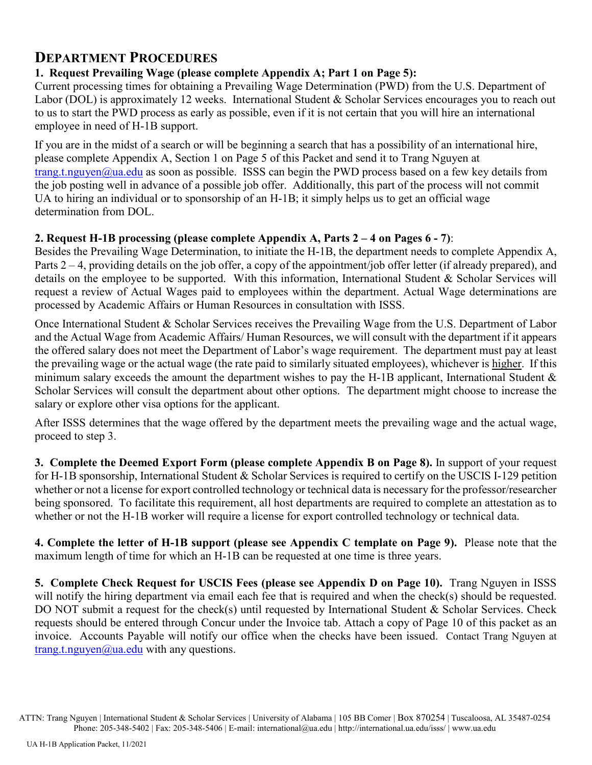## **DEPARTMENT PROCEDURES**

## **1. Request Prevailing Wage (please complete Appendix A; Part 1 on Page 5):**

Current processing times for obtaining a Prevailing Wage Determination (PWD) from the U.S. Department of Labor (DOL) is approximately 12 weeks. International Student & Scholar Services encourages you to reach out to us to start the PWD process as early as possible, even if it is not certain that you will hire an international employee in need of H-1B support.

If you are in the midst of a search or will be beginning a search that has a possibility of an international hire, please complete Appendix A, Section 1 on Page 5 of this Packet and send it to Trang Nguyen at [trang.t.nguyen@ua.edu](mailto:chris.larkin@ua.edu) as soon as possible. ISSS can begin the PWD process based on a few key details from the job posting well in advance of a possible job offer. Additionally, this part of the process will not commit UA to hiring an individual or to sponsorship of an H-1B; it simply helps us to get an official wage determination from DOL.

## **2. Request H-1B processing (please complete Appendix A, Parts 2 – 4 on Pages 6 - 7)**:

Besides the Prevailing Wage Determination, to initiate the H-1B, the department needs to complete Appendix A, Parts 2 – 4, providing details on the job offer, a copy of the appointment/job offer letter (if already prepared), and details on the employee to be supported. With this information, International Student & Scholar Services will request a review of Actual Wages paid to employees within the department. Actual Wage determinations are processed by Academic Affairs or Human Resources in consultation with ISSS.

Once International Student & Scholar Services receives the Prevailing Wage from the U.S. Department of Labor and the Actual Wage from Academic Affairs/ Human Resources, we will consult with the department if it appears the offered salary does not meet the Department of Labor's wage requirement. The department must pay at least the prevailing wage or the actual wage (the rate paid to similarly situated employees), whichever is higher. If this minimum salary exceeds the amount the department wishes to pay the H-1B applicant, International Student  $\&$ Scholar Services will consult the department about other options. The department might choose to increase the salary or explore other visa options for the applicant.

After ISSS determines that the wage offered by the department meets the prevailing wage and the actual wage, proceed to step 3.

**3. Complete the Deemed Export Form (please complete Appendix B on Page 8).** In support of your request for H-1B sponsorship, International Student & Scholar Services is required to certify on the USCIS I-129 petition whether or not a license for export controlled technology or technical data is necessary for the professor/researcher being sponsored. To facilitate this requirement, all host departments are required to complete an attestation as to whether or not the H-1B worker will require a license for export controlled technology or technical data.

**4. Complete the letter of H-1B support (please see Appendix C template on Page 9).** Please note that the maximum length of time for which an H-1B can be requested at one time is three years.

**5. Complete Check Request for USCIS Fees (please see Appendix D on Page 10).** Trang Nguyen in ISSS will notify the hiring department via email each fee that is required and when the check(s) should be requested. DO NOT submit a request for the check(s) until requested by International Student & Scholar Services. Check requests should be entered through Concur under the Invoice tab. Attach a copy of Page 10 of this packet as an invoice. Accounts Payable will notify our office when the checks have been issued. Contact Trang Nguyen at [trang.t.nguyen@ua.edu](mailto:chris.larkin@ua.edu) with any questions.

ATTN: Trang Nguyen | International Student & Scholar Services | University of Alabama | 105 BB Comer | Box 870254 | Tuscaloosa, AL 35487-0254 Phone: 205-348-5402 | Fax: 205-348-5406 | E-mail: international@ua.edu | http://international.ua.edu/isss/ | www.ua.edu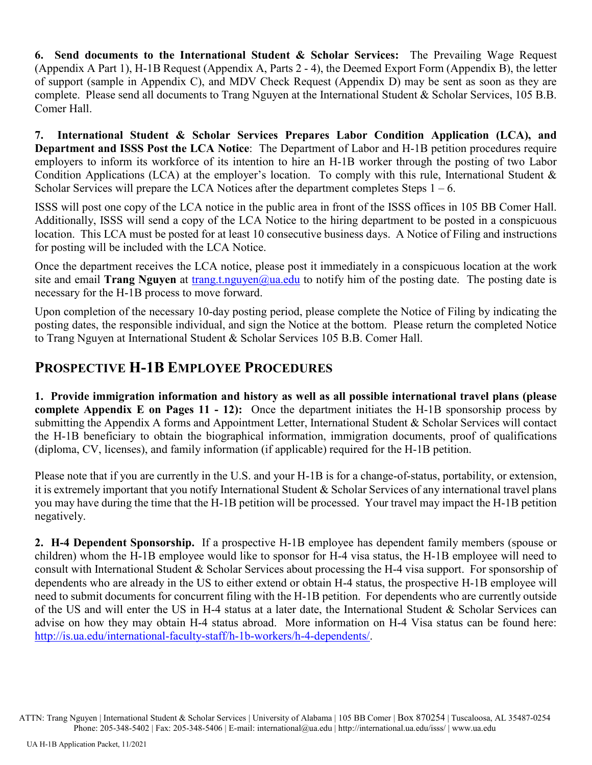**6. Send documents to the International Student & Scholar Services:** The Prevailing Wage Request (Appendix A Part 1), H-1B Request (Appendix A, Parts 2 - 4), the Deemed Export Form (Appendix B), the letter of support (sample in Appendix C), and MDV Check Request (Appendix D) may be sent as soon as they are complete. Please send all documents to Trang Nguyen at the International Student & Scholar Services, 105 B.B. Comer Hall.

**7. International Student & Scholar Services Prepares Labor Condition Application (LCA), and Department and ISSS Post the LCA Notice**: The Department of Labor and H-1B petition procedures require employers to inform its workforce of its intention to hire an H-1B worker through the posting of two Labor Condition Applications (LCA) at the employer's location. To comply with this rule, International Student & Scholar Services will prepare the LCA Notices after the department completes Steps  $1 - 6$ .

ISSS will post one copy of the LCA notice in the public area in front of the ISSS offices in 105 BB Comer Hall. Additionally, ISSS will send a copy of the LCA Notice to the hiring department to be posted in a conspicuous location. This LCA must be posted for at least 10 consecutive business days. A Notice of Filing and instructions for posting will be included with the LCA Notice.

Once the department receives the LCA notice, please post it immediately in a conspicuous location at the work site and email **Trang Nguyen** at [trang.t.nguyen@ua.edu](mailto:chris.larkin@ua.edu) to notify him of the posting date. The posting date is necessary for the H-1B process to move forward.

Upon completion of the necessary 10-day posting period, please complete the Notice of Filing by indicating the posting dates, the responsible individual, and sign the Notice at the bottom. Please return the completed Notice to Trang Nguyen at International Student & Scholar Services 105 B.B. Comer Hall.

## **PROSPECTIVE H-1B EMPLOYEE PROCEDURES**

**1. Provide immigration information and history as well as all possible international travel plans (please complete Appendix E on Pages 11 - 12):** Once the department initiates the H-1B sponsorship process by submitting the Appendix A forms and Appointment Letter, International Student & Scholar Services will contact the H-1B beneficiary to obtain the biographical information, immigration documents, proof of qualifications (diploma, CV, licenses), and family information (if applicable) required for the H-1B petition.

Please note that if you are currently in the U.S. and your H-1B is for a change-of-status, portability, or extension, it is extremely important that you notify International Student & Scholar Services of any international travel plans you may have during the time that the H-1B petition will be processed. Your travel may impact the H-1B petition negatively.

**2. H-4 Dependent Sponsorship.** If a prospective H-1B employee has dependent family members (spouse or children) whom the H-1B employee would like to sponsor for H-4 visa status, the H-1B employee will need to consult with International Student & Scholar Services about processing the H-4 visa support. For sponsorship of dependents who are already in the US to either extend or obtain H-4 status, the prospective H-1B employee will need to submit documents for concurrent filing with the H-1B petition. For dependents who are currently outside of the US and will enter the US in H-4 status at a later date, the International Student & Scholar Services can advise on how they may obtain H-4 status abroad. More information on H-4 Visa status can be found here: [http://is.ua.edu/international-faculty-staff/h-1b-workers/h-4-dependents/.](http://is.ua.edu/international-faculty-staff/h-1b-workers/h-4-dependents/)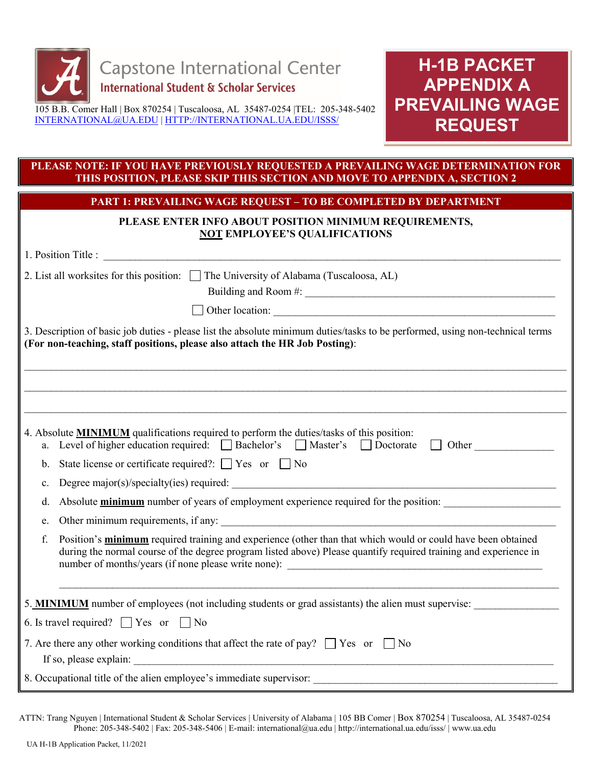

**H-1B PACKET APPENDIX A PREVAILING WAGE REQUEST**

### **PLEASE NOTE: IF YOU HAVE PREVIOUSLY REQUESTED A PREVAILING WAGE DETERMINATION FOR THIS POSITION, PLEASE SKIP THIS SECTION AND MOVE TO APPENDIX A, SECTION 2**

**PART 1: PREVAILING WAGE REQUEST – TO BE COMPLETED BY DEPARTMENT**

### **PLEASE ENTER INFO ABOUT POSITION MINIMUM REQUIREMENTS, NOT EMPLOYEE'S QUALIFICATIONS**

| 2. List all worksites for this position: $\Box$ The University of Alabama (Tuscaloosa, AL)                                                                                                                                             |
|----------------------------------------------------------------------------------------------------------------------------------------------------------------------------------------------------------------------------------------|
|                                                                                                                                                                                                                                        |
| 3. Description of basic job duties - please list the absolute minimum duties/tasks to be performed, using non-technical terms<br>(For non-teaching, staff positions, please also attach the HR Job Posting):                           |
|                                                                                                                                                                                                                                        |
| 4. Absolute MINIMUM qualifications required to perform the duties/tasks of this position:<br>a. Level of higher education required: Bachelor's Master's Doctorate<br>Other<br>$\Box$                                                   |
| State license or certificate required?: $\Box$ Yes or $\Box$ No<br>b.                                                                                                                                                                  |
| c.                                                                                                                                                                                                                                     |
| Absolute <b>minimum</b> number of years of employment experience required for the position:<br>d.                                                                                                                                      |
| e.                                                                                                                                                                                                                                     |
| Position's minimum required training and experience (other than that which would or could have been obtained<br>f.<br>during the normal course of the degree program listed above) Please quantify required training and experience in |
| 5. <b>MINIMUM</b> number of employees (not including students or grad assistants) the alien must supervise:                                                                                                                            |
| 6. Is travel required? $\Box$ Yes or $\Box$ No                                                                                                                                                                                         |
| 7. Are there any other working conditions that affect the rate of pay? $\Box$ Yes or $\Box$ No                                                                                                                                         |
|                                                                                                                                                                                                                                        |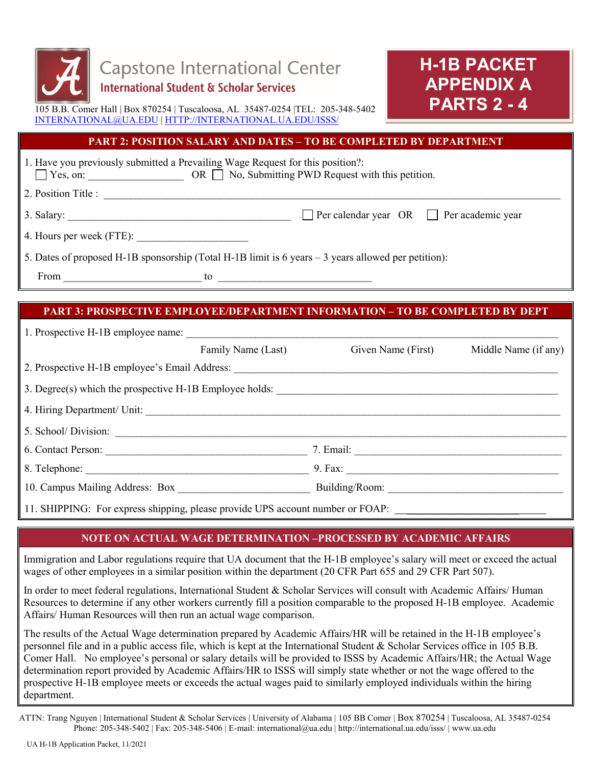

# **H-1B PACKET APPENDIX A PARTS 2 - 4**

105 B.B. Comer Hall | Box 870254 | Tuscaloosa, AL 35487-0254 |TEL: 205-348-5402 [INTERNATIONAL@UA.EDU](mailto:INTERNATIONAL@UA.EDU) | [HTTP://INTERNATIONAL.UA.EDU/ISSS/](http://international.ua.edu/ISSS/)

### **PART 2: POSITION SALARY AND DATES – TO BE COMPLETED BY DEPARTMENT**

| $\Box$ Yes, on:          | 1. Have you previously submitted a Prevailing Wage Request for this position?: | OR $\Box$ No, Submitting PWD Request with this petition.                                            |
|--------------------------|--------------------------------------------------------------------------------|-----------------------------------------------------------------------------------------------------|
| 2. Position Title :      |                                                                                |                                                                                                     |
| 3. Salary:               |                                                                                | $\Box$ Per calendar year OR $\Box$ Per academic year                                                |
| 4. Hours per week (FTE): |                                                                                |                                                                                                     |
|                          |                                                                                | 5. Dates of proposed H-1B sponsorship (Total H-1B limit is 6 years - 3 years allowed per petition): |
| From                     | to                                                                             |                                                                                                     |

## **PART 3: PROSPECTIVE EMPLOYEE/DEPARTMENT INFORMATION – TO BE COMPLETED BY DEPT**

|                                                         | Family Name (Last) | Given Name (First) | Middle Name (if any) |
|---------------------------------------------------------|--------------------|--------------------|----------------------|
|                                                         |                    |                    |                      |
| 3. Degree(s) which the prospective H-1B Employee holds: |                    |                    |                      |
|                                                         |                    |                    |                      |
|                                                         |                    |                    |                      |
| 6. Contact Person:                                      |                    |                    |                      |
|                                                         |                    |                    |                      |
| 10. Campus Mailing Address: Box                         |                    |                    |                      |
|                                                         |                    |                    |                      |

11. SHIPPING: For express shipping, please provide UPS account number or FOAP:

## **NOTE ON ACTUAL WAGE DETERMINATION –PROCESSED BY ACADEMIC AFFAIRS**

Immigration and Labor regulations require that UA document that the H-1B employee's salary will meet or exceed the actual wages of other employees in a similar position within the department (20 CFR Part 655 and 29 CFR Part 507).

In order to meet federal regulations, International Student & Scholar Services will consult with Academic Affairs/ Human Resources to determine if any other workers currently fill a position comparable to the proposed H-1B employee. Academic Affairs/ Human Resources will then run an actual wage comparison.

The results of the Actual Wage determination prepared by Academic Affairs/HR will be retained in the H-1B employee's personnel file and in a public access file, which is kept at the International Student & Scholar Services office in 105 B.B. Comer Hall. No employee's personal or salary details will be provided to ISSS by Academic Affairs/HR; the Actual Wage determination report provided by Academic Affairs/HR to ISSS will simply state whether or not the wage offered to the prospective H-1B employee meets or exceeds the actual wages paid to similarly employed individuals within the hiring department.

ATTN: Trang Nguyen | International Student & Scholar Services | University of Alabama | 105 BB Comer | Box 870254 | Tuscaloosa, AL 35487-0254 Phone: 205-348-5402 | Fax: 205-348-5406 | E-mail: international@ua.edu | http://international.ua.edu/isss/ | www.ua.edu

֡֡֡֡֡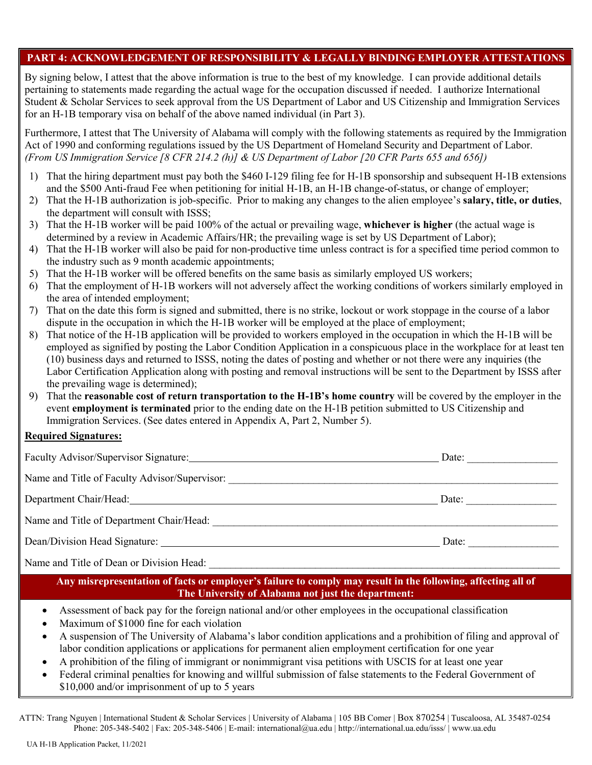### **PART 4: ACKNOWLEDGEMENT OF RESPONSIBILITY & LEGALLY BINDING EMPLOYER ATTESTATIONS**

By signing below, I attest that the above information is true to the best of my knowledge. I can provide additional details pertaining to statements made regarding the actual wage for the occupation discussed if needed. I authorize International Student & Scholar Services to seek approval from the US Department of Labor and US Citizenship and Immigration Services for an H-1B temporary visa on behalf of the above named individual (in Part 3).

Furthermore, I attest that The University of Alabama will comply with the following statements as required by the Immigration Act of 1990 and conforming regulations issued by the US Department of Homeland Security and Department of Labor. *(From US Immigration Service [8 CFR 214.2 (h)] & US Department of Labor [20 CFR Parts 655 and 656])*

- 1) That the hiring department must pay both the \$460 I-129 filing fee for H-1B sponsorship and subsequent H-1B extensions and the \$500 Anti-fraud Fee when petitioning for initial H-1B, an H-1B change-of-status, or change of employer;
- 2) That the H-1B authorization is job-specific. Prior to making any changes to the alien employee's **salary, title, or duties**, the department will consult with ISSS;
- 3) That the H-1B worker will be paid 100% of the actual or prevailing wage, **whichever is higher** (the actual wage is determined by a review in Academic Affairs/HR; the prevailing wage is set by US Department of Labor);
- 4) That the H-1B worker will also be paid for non-productive time unless contract is for a specified time period common to the industry such as 9 month academic appointments;
- 5) That the H-1B worker will be offered benefits on the same basis as similarly employed US workers;
- 6) That the employment of H-1B workers will not adversely affect the working conditions of workers similarly employed in the area of intended employment;
- 7) That on the date this form is signed and submitted, there is no strike, lockout or work stoppage in the course of a labor dispute in the occupation in which the H-1B worker will be employed at the place of employment;
- 8) That notice of the H-1B application will be provided to workers employed in the occupation in which the H-1B will be employed as signified by posting the Labor Condition Application in a conspicuous place in the workplace for at least ten (10) business days and returned to ISSS, noting the dates of posting and whether or not there were any inquiries (the Labor Certification Application along with posting and removal instructions will be sent to the Department by ISSS after the prevailing wage is determined);
- 9) That the **reasonable cost of return transportation to the H-1B's home country** will be covered by the employer in the event **employment is terminated** prior to the ending date on the H-1B petition submitted to US Citizenship and Immigration Services. (See dates entered in Appendix A, Part 2, Number 5).

### **Required Signatures:**

| Faculty Advisor/Supervisor Signature:                                 | Date: |
|-----------------------------------------------------------------------|-------|
| Name and Title of Faculty Advisor/Supervisor:                         |       |
| Department Chair/Head: National Secretary Analysis of the Chair/Head: | Date: |
| Name and Title of Department Chair/Head:                              |       |
|                                                                       | Date: |
| Name and Title of Dean or Division Head:                              |       |

**Any misrepresentation of facts or employer's failure to comply may result in the following, affecting all of The University of Alabama not just the department:**

- Assessment of back pay for the foreign national and/or other employees in the occupational classification
- Maximum of \$1000 fine for each violation
- A suspension of The University of Alabama's labor condition applications and a prohibition of filing and approval of labor condition applications or applications for permanent alien employment certification for one year
- A prohibition of the filing of immigrant or nonimmigrant visa petitions with USCIS for at least one year
- Federal criminal penalties for knowing and willful submission of false statements to the Federal Government of \$10,000 and/or imprisonment of up to 5 years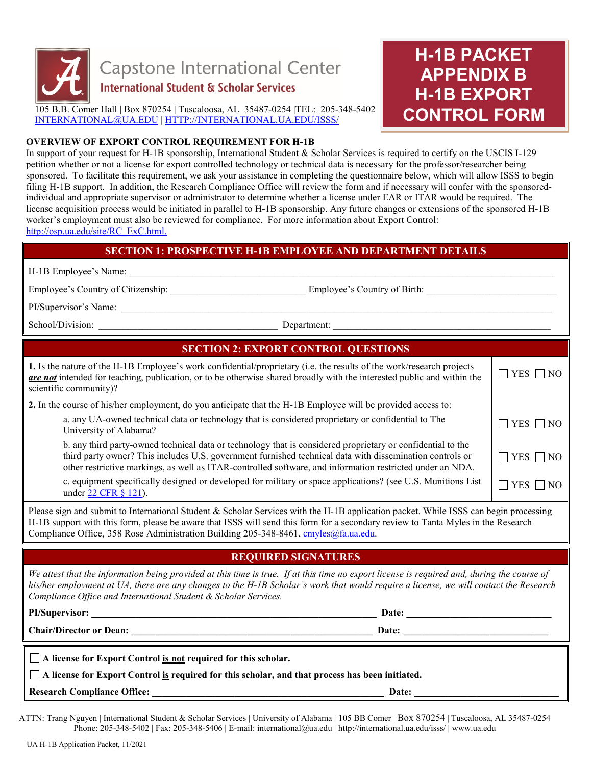

# **H-1B PACKET APPENDIX B H-1B EXPORT CONTROL FORM**

#### **OVERVIEW OF EXPORT CONTROL REQUIREMENT FOR H-1B**

In support of your request for H-1B sponsorship, International Student & Scholar Services is required to certify on the USCIS I-129 petition whether or not a license for export controlled technology or technical data is necessary for the professor/researcher being sponsored. To facilitate this requirement, we ask your assistance in completing the questionnaire below, which will allow ISSS to begin filing H-1B support. In addition, the Research Compliance Office will review the form and if necessary will confer with the sponsoredindividual and appropriate supervisor or administrator to determine whether a license under EAR or ITAR would be required. The license acquisition process would be initiated in parallel to H-1B sponsorship. Any future changes or extensions of the sponsored H-1B worker's employment must also be reviewed for compliance. For more information about Export Control: [http://osp.ua.edu/site/RC\\_ExC.html.](http://osp.ua.edu/site/RC_ExC.html)

### **SECTION 1: PROSPECTIVE H-1B EMPLOYEE AND DEPARTMENT DETAILS**

H-1B Employee's Name:

Employee's Country of Citizenship: \_\_\_\_\_\_\_\_\_\_\_\_\_\_\_\_\_\_\_\_\_\_\_\_\_\_\_\_ Employee's Country of Birth: \_\_\_\_\_\_\_\_\_\_\_\_\_\_\_\_\_\_\_\_\_\_\_\_\_\_\_

PI/Supervisor's Name:

School/Division: \_\_\_\_\_\_\_\_\_\_\_\_\_\_\_\_\_\_\_\_\_\_\_\_\_\_\_\_\_\_\_\_\_\_\_\_\_ Department: \_\_\_\_\_\_\_\_\_\_\_\_\_\_\_\_\_\_\_\_\_\_\_\_\_\_\_\_\_\_\_\_\_\_\_\_\_\_\_\_\_\_\_\_\_

| <b>SECTION 2: EXPORT CONTROL QUESTIONS</b>                                                                                                                                                                                                                                                                                           |                      |  |  |  |  |
|--------------------------------------------------------------------------------------------------------------------------------------------------------------------------------------------------------------------------------------------------------------------------------------------------------------------------------------|----------------------|--|--|--|--|
| 1. Is the nature of the H-1B Employee's work confidential/proprietary (i.e. the results of the work/research projects<br><b>are not</b> intended for teaching, publication, or to be otherwise shared broadly with the interested public and within the<br>scientific community)?                                                    |                      |  |  |  |  |
| 2. In the course of his/her employment, do you anticipate that the H-1B Employee will be provided access to:                                                                                                                                                                                                                         |                      |  |  |  |  |
| a. any UA-owned technical data or technology that is considered proprietary or confidential to The<br>University of Alabama?                                                                                                                                                                                                         | $\Box$ YES $\Box$ NO |  |  |  |  |
| b. any third party-owned technical data or technology that is considered proprietary or confidential to the<br>third party owner? This includes U.S. government furnished technical data with dissemination controls or<br>other restrictive markings, as well as ITAR-controlled software, and information restricted under an NDA. | $\Box$ YES $\Box$ NO |  |  |  |  |
| c. equipment specifically designed or developed for military or space applications? (see U.S. Munitions List<br>under 22 CFR § 121).                                                                                                                                                                                                 | $\Box$ YES $\Box$ NO |  |  |  |  |
|                                                                                                                                                                                                                                                                                                                                      |                      |  |  |  |  |

Please sign and submit to International Student & Scholar Services with the H-1B application packet. While ISSS can begin processing H-1B support with this form, please be aware that ISSS will send this form for a secondary review to Tanta Myles in the Research Compliance Office, 358 Rose Administration Building 205-348-8461[, cmyles@fa.ua.edu.](mailto:cmyles@fa.ua.edu)

## **REQUIRED SIGNATURES**

*We attest that the information being provided at this time is true. If at this time no export license is required and, during the course of his/her employment at UA, there are any changes to the H-1B Scholar's work that would require a license, we will contact the Research Compliance Office and International Student & Scholar Services.* 

| PI/Supervisor:                 | Date: |
|--------------------------------|-------|
| <b>Chair/Director or Dean:</b> | Date: |
|                                |       |

|  |  |  |  |  |  |  |  | $\Box$ A license for Export Control is not required for this scholar. |
|--|--|--|--|--|--|--|--|-----------------------------------------------------------------------|
|--|--|--|--|--|--|--|--|-----------------------------------------------------------------------|

**A license for Export Control is required for this scholar, and that process has been initiated.**

**Research Compliance Office: \_\_\_\_\_\_\_\_\_\_\_\_\_\_\_\_\_\_\_\_\_\_\_\_\_\_\_\_\_\_\_\_\_\_\_\_\_\_\_\_\_\_\_\_\_\_\_\_ Date: \_\_\_\_\_\_\_\_\_\_\_\_\_\_\_\_\_\_\_\_\_\_\_\_\_\_\_\_\_\_**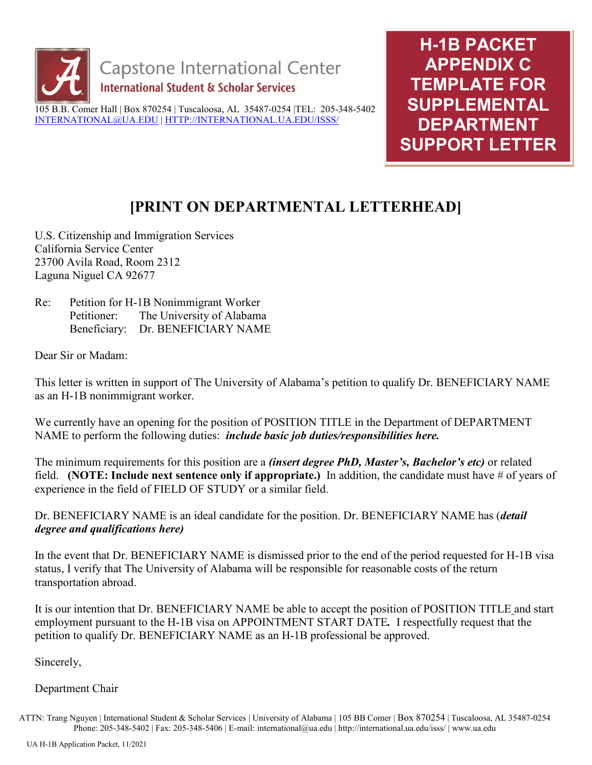

**H-1B PACKET APPENDIX C TEMPLATE FOR SUPPLEMENTAL DEPARTMENT SUPPORT LETTER**

## **[PRINT ON DEPARTMENTAL LETTERHEAD]**

U.S. Citizenship and Immigration Services California Service Center 23700 Avila Road, Room 2312 Laguna Niguel CA 92677

Re: Petition for H-1B Nonimmigrant Worker Petitioner: The University of Alabama Beneficiary: Dr. BENEFICIARY NAME

Dear Sir or Madam:

This letter is written in support of The University of Alabama's petition to qualify Dr. BENEFICIARY NAME as an H-1B nonimmigrant worker.

We currently have an opening for the position of POSITION TITLE in the Department of DEPARTMENT NAME to perform the following duties: *include basic job duties/responsibilities here.*

The minimum requirements for this position are a *(insert degree PhD, Master's, Bachelor's etc)* or related field. **(NOTE: Include next sentence only if appropriate.)** In addition, the candidate must have # of years of experience in the field of FIELD OF STUDY or a similar field.

Dr. BENEFICIARY NAME is an ideal candidate for the position. Dr. BENEFICIARY NAME has (*detail degree and qualifications here)*

In the event that Dr. BENEFICIARY NAME is dismissed prior to the end of the period requested for H-1B visa status, I verify that The University of Alabama will be responsible for reasonable costs of the return transportation abroad.

It is our intention that Dr. BENEFICIARY NAME be able to accept the position of POSITION TITLE and start employment pursuant to the H-1B visa on APPOINTMENT START DATE*.* I respectfully request that the petition to qualify Dr. BENEFICIARY NAME as an H-1B professional be approved.

Sincerely,

## Department Chair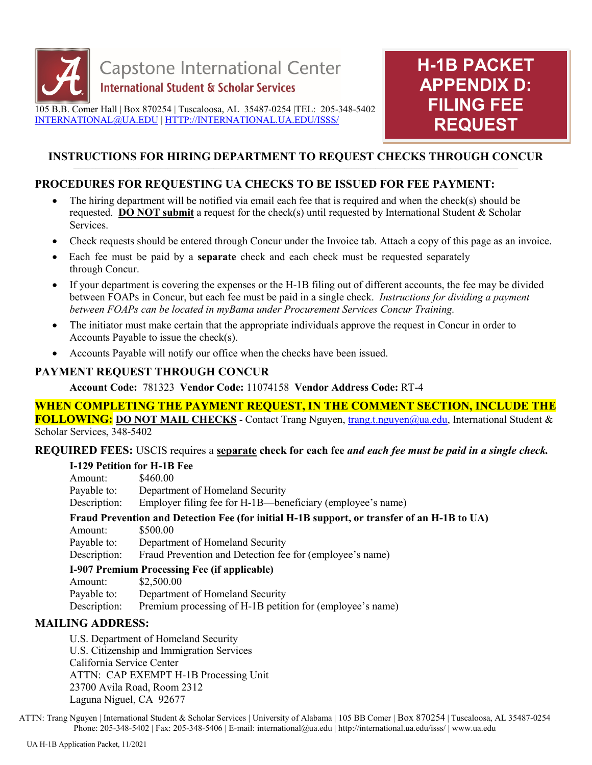



#### **INSTRUCTIONS FOR HIRING DEPARTMENT TO REQUEST CHECKS THROUGH CONCUR**  $\mathcal{L} = \{ \mathcal{L} = \{ \mathcal{L} = \{ \mathcal{L} = \{ \mathcal{L} = \{ \mathcal{L} = \{ \mathcal{L} = \{ \mathcal{L} = \{ \mathcal{L} = \{ \mathcal{L} = \{ \mathcal{L} = \{ \mathcal{L} = \{ \mathcal{L} = \{ \mathcal{L} = \{ \mathcal{L} = \{ \mathcal{L} = \{ \mathcal{L} = \{ \mathcal{L} = \{ \mathcal{L} = \{ \mathcal{L} = \{ \mathcal{L} = \{ \mathcal{L} = \{ \mathcal{L} = \{ \mathcal{L} = \{ \mathcal{$

## **PROCEDURES FOR REQUESTING UA CHECKS TO BE ISSUED FOR FEE PAYMENT:**

- The hiring department will be notified via email each fee that is required and when the check(s) should be requested. **DO NOT submit** a request for the check(s) until requested by International Student & Scholar Services.
- Check requests should be entered through Concur under the Invoice tab. Attach a copy of this page as an invoice.
- Each fee must be paid by a **separate** check and each check must be requested separately through Concur.
- If your department is covering the expenses or the H-1B filing out of different accounts, the fee may be divided between FOAPs in Concur, but each fee must be paid in a single check. *Instructions for dividing a payment between FOAPs can be located in myBama under Procurement Services Concur Training.*
- The initiator must make certain that the appropriate individuals approve the request in Concur in order to Accounts Payable to issue the check(s).
- Accounts Payable will notify our office when the checks have been issued.

### **PAYMENT REQUEST THROUGH CONCUR**

**Account Code:** 781323 **Vendor Code:** 11074158 **Vendor Address Code:** RT-4

## **WHEN COMPLETING THE PAYMENT REQUEST, IN THE COMMENT SECTION, INCLUDE THE**

**FOLLOWING:** DO NOT MAIL CHECKS - Contact Trang Nguyen, [trang.t.nguyen@ua.edu,](mailto:chris.larkin@ua.edu) International Student & Scholar Services, 348-5402

### **REQUIRED FEES:** USCIS requires a **separate check for each fee** *and each fee must be paid in a single check.*

### **I-129 Petition for H-1B Fee**

| Amount:      | \$460.00                                                                                    |
|--------------|---------------------------------------------------------------------------------------------|
| Payable to:  | Department of Homeland Security                                                             |
| Description: | Employer filing fee for H-1B—beneficiary (employee's name)                                  |
|              | Fraud Prevention and Detection Fee (for initial H-1B support, or transfer of an H-1B to UA) |
| Amount:      | \$500.00                                                                                    |
| Payable to:  | Department of Homeland Security                                                             |
| Description: | Fraud Prevention and Detection fee for (employee's name)                                    |
|              | I-907 Premium Processing Fee (if applicable)                                                |
| Amount:      | \$2,500.00                                                                                  |
| Payable to:  | Department of Homeland Security                                                             |

Description: Premium processing of H-1B petition for (employee's name)

### **MAILING ADDRESS:**

U.S. Department of Homeland Security U.S. Citizenship and Immigration Services California Service Center ATTN: CAP EXEMPT H-1B Processing Unit 23700 Avila Road, Room 2312 Laguna Niguel, CA 92677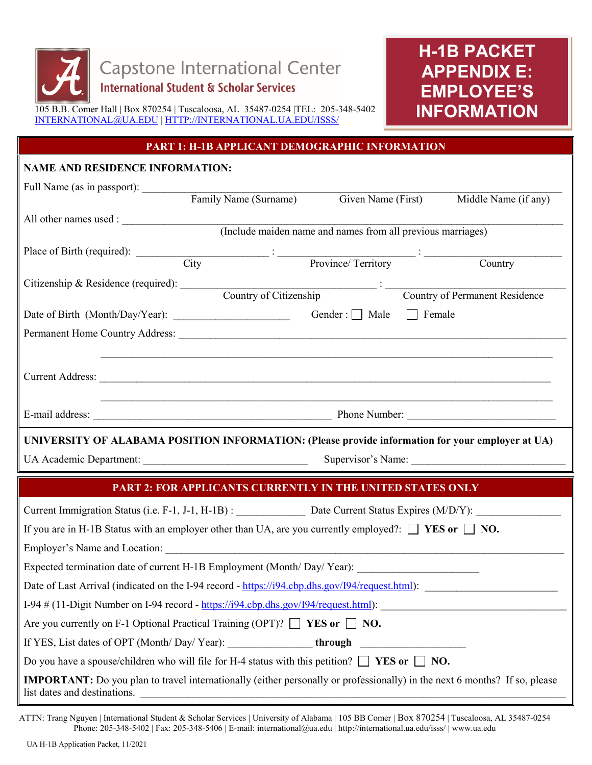

# **H-1B PACKET APPENDIX E: EMPLOYEE'S INFORMATION**

### **PART 1: H-1B APPLICANT DEMOGRAPHIC INFORMATION**

## **NAME AND RESIDENCE INFORMATION:** Full Name (as in passport): \_\_\_\_\_\_\_\_\_\_\_\_\_\_\_\_\_\_\_\_\_\_\_\_\_\_\_\_\_\_\_\_\_\_\_\_\_\_\_\_\_\_\_\_\_\_\_\_\_\_\_\_\_\_\_\_\_\_\_\_\_\_\_\_\_\_\_\_\_\_\_\_\_\_\_\_\_\_\_ Family Name (Surname) Given Name (First) Middle Name (if any) All other names used : (Include maiden name and names from all previous marriages) Place of Birth (required):  $\frac{1}{2}$  :  $\frac{1}{2}$  :  $\frac{1}{2}$  :  $\frac{1}{2}$  :  $\frac{1}{2}$  :  $\frac{1}{2}$  :  $\frac{1}{2}$  :  $\frac{1}{2}$  :  $\frac{1}{2}$  :  $\frac{1}{2}$  :  $\frac{1}{2}$  :  $\frac{1}{2}$  :  $\frac{1}{2}$  :  $\frac{1}{2}$  :  $\frac{1}{2}$  :  $\frac{1}{2}$  :  $\$  City Province/ Territory Country Citizenship & Residence (required): \_\_\_\_\_\_\_\_\_\_\_\_\_\_\_\_\_\_\_\_\_\_\_\_\_\_\_\_\_\_\_\_\_\_\_\_\_ : \_\_\_\_\_\_\_\_\_\_\_\_\_\_\_\_\_\_\_\_\_\_\_\_\_\_\_\_\_\_\_\_\_\_  $\frac{1}{\text{Country of Citizenship}}$ Date of Birth (Month/Day/Year): \_\_\_\_\_\_\_\_\_\_\_\_\_\_\_\_\_\_\_\_\_\_ Gender : Male Female Permanent Home Country Address: \_\_\_\_\_\_\_\_\_\_\_\_\_\_\_\_\_\_\_\_\_\_\_\_\_\_\_\_\_\_\_\_\_\_\_\_\_\_\_\_\_\_\_\_\_\_\_\_\_\_\_\_\_\_\_\_\_\_\_\_\_\_\_\_\_\_\_\_\_\_\_\_\_  $\mathcal{L}_\mathcal{L} = \mathcal{L}_\mathcal{L} = \mathcal{L}_\mathcal{L} = \mathcal{L}_\mathcal{L} = \mathcal{L}_\mathcal{L} = \mathcal{L}_\mathcal{L} = \mathcal{L}_\mathcal{L} = \mathcal{L}_\mathcal{L} = \mathcal{L}_\mathcal{L} = \mathcal{L}_\mathcal{L} = \mathcal{L}_\mathcal{L} = \mathcal{L}_\mathcal{L} = \mathcal{L}_\mathcal{L} = \mathcal{L}_\mathcal{L} = \mathcal{L}_\mathcal{L} = \mathcal{L}_\mathcal{L} = \mathcal{L}_\mathcal{L}$ Current Address: \_\_\_\_\_\_\_\_\_\_\_\_\_\_\_\_\_\_\_\_\_\_\_\_\_\_\_\_\_\_\_\_\_\_\_\_\_\_\_\_\_\_\_\_\_\_\_\_\_\_\_\_\_\_\_\_\_\_\_\_\_\_\_\_\_\_\_\_\_\_\_\_\_\_\_\_\_\_\_\_\_\_\_\_\_  $\mathcal{L}_\mathcal{L} = \mathcal{L}_\mathcal{L} = \mathcal{L}_\mathcal{L} = \mathcal{L}_\mathcal{L} = \mathcal{L}_\mathcal{L} = \mathcal{L}_\mathcal{L} = \mathcal{L}_\mathcal{L} = \mathcal{L}_\mathcal{L} = \mathcal{L}_\mathcal{L} = \mathcal{L}_\mathcal{L} = \mathcal{L}_\mathcal{L} = \mathcal{L}_\mathcal{L} = \mathcal{L}_\mathcal{L} = \mathcal{L}_\mathcal{L} = \mathcal{L}_\mathcal{L} = \mathcal{L}_\mathcal{L} = \mathcal{L}_\mathcal{L}$ E-mail address: \_\_\_\_\_\_\_\_\_\_\_\_\_\_\_\_\_\_\_\_\_\_\_\_\_\_\_\_\_\_\_\_\_\_\_\_\_\_\_\_\_\_\_\_\_ Phone Number: \_\_\_\_\_\_\_\_\_\_\_\_\_\_\_\_\_\_\_\_\_\_\_\_\_\_\_\_ **UNIVERSITY OF ALABAMA POSITION INFORMATION: (Please provide information for your employer at UA)**

UA Academic Department: \_\_\_\_\_\_\_\_\_\_\_\_\_\_\_\_\_\_\_\_\_\_\_\_\_\_\_\_\_\_\_ Supervisor's Name: \_\_\_\_\_\_\_\_\_\_\_\_\_\_\_\_\_\_\_\_\_\_\_\_\_\_\_\_\_

### **PART 2: FOR APPLICANTS CURRENTLY IN THE UNITED STATES ONLY**

| Current Immigration Status (i.e. F-1, J-1, H-1B): Date Current Status Expires (M/D/Y):                                                                            |  |
|-------------------------------------------------------------------------------------------------------------------------------------------------------------------|--|
| If you are in H-1B Status with an employer other than UA, are you currently employed?: $\Box$ <b>YES or</b> $\Box$ <b>NO.</b>                                     |  |
| Employer's Name and Location:                                                                                                                                     |  |
| Expected termination date of current H-1B Employment (Month/Day/Year):                                                                                            |  |
| Date of Last Arrival (indicated on the I-94 record - https://i94.cbp.dhs.gov/I94/request.html):                                                                   |  |
| I-94 $\#$ (11-Digit Number on I-94 record - https://i94.cbp.dhs.gov/I94/request.html):                                                                            |  |
| Are you currently on F-1 Optional Practical Training (OPT)? $\Box$ <b>YES or</b> $\Box$ <b>NO.</b>                                                                |  |
| If YES, List dates of OPT (Month/Day/Year): ________________through _____________                                                                                 |  |
| Do you have a spouse/children who will file for H-4 status with this petition? $\Box$ <b>YES</b> or $\Box$ <b>NO.</b>                                             |  |
| <b>IMPORTANT:</b> Do you plan to travel internationally (either personally or professionally) in the next 6 months? If so, please<br>list dates and destinations. |  |